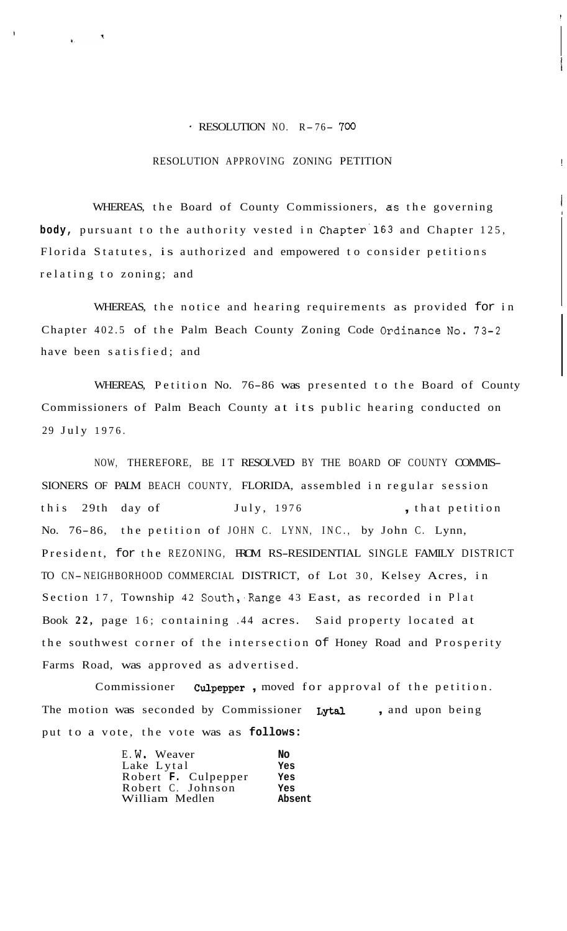## $RESOLUTION NO. R-76- 700$

## RESOLUTION APPROVING ZONING PETITION

!

I

WHEREAS, the Board of County Commissioners, as the governing **body,** pursuant to the authority vested in Chapter'l63 and Chapter 125, Florida Statutes, is authorized and empowered to consider petitions relating to zoning; and

WHEREAS, the notice and hearing requirements as provided for in Chapter 402.5 of the Palm Beach County Zoning Code Ordinance No. 73-2 have been satisfied; and

WHEREAS, Petition No. 76-86 was presented to the Board of County Commissioners of Palm Beach County at its public hearing conducted on 29 July 1976.

NOW, THEREFORE, BE IT RESOLVED BY THE BOARD OF COUNTY COMMIS-SIONERS OF PALM BEACH COUNTY, FLORIDA, assembled in regular session this 29th day of July, 1976 , that petition No. 76-86, the petition of JOHN C. LYNN, INC., by John C. Lynn, President, for the REZONING, FROM RS-RESIDENTIAL SINGLE FAMILY DISTRICT TO CN- NEIGHBORHOOD COMMERCIAL DISTRICT, of Lot 30, Kelsey Acres, in Section 17, Township 42 South, Range 43 East, as recorded in Plat Book **22,** page 16; containing .44 acres. Said property located at the southwest corner of the intersection of Honey Road and Prosperity Farms Road, was approved as advertised.

Commissioner **Culpepper** , moved for approval of the petition. The motion was seconded by Commissioner Lytal , and upon being put to a vote, the vote was as **follows:** 

| E.W. Weaver         | No     |
|---------------------|--------|
| Lake Lytal          | Yes    |
| Robert F. Culpepper | Yes    |
| Robert C. Johnson   | Yes    |
| William Medlen      | Absent |